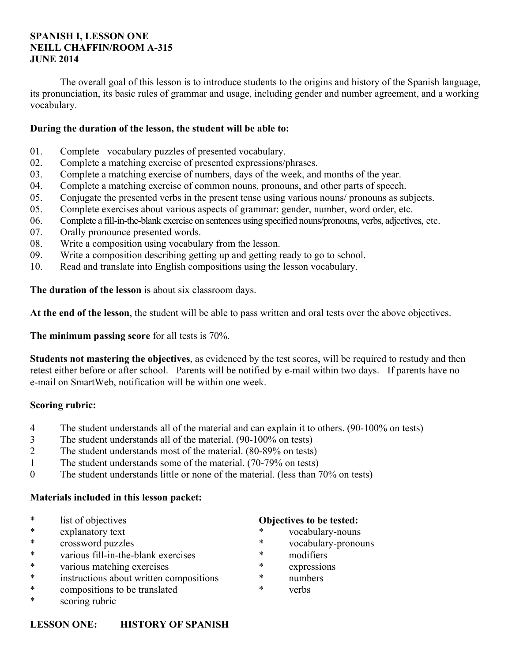#### **SPANISH I, LESSON ONE NEILL CHAFFIN/ROOM A-315 JUNE 2014**

 The overall goal of this lesson is to introduce students to the origins and history of the Spanish language, its pronunciation, its basic rules of grammar and usage, including gender and number agreement, and a working vocabulary.

#### **During the duration of the lesson, the student will be able to:**

- 01. Complete vocabulary puzzles of presented vocabulary.
- 02. Complete a matching exercise of presented expressions/phrases.
- 03. Complete a matching exercise of numbers, days of the week, and months of the year.
- 04. Complete a matching exercise of common nouns, pronouns, and other parts of speech.
- 05. Conjugate the presented verbs in the present tense using various nouns/ pronouns as subjects.
- 05. Complete exercises about various aspects of grammar: gender, number, word order, etc.
- 06. Complete a fill-in-the-blank exercise on sentences using specified nouns/pronouns, verbs, adjectives, etc.
- 07. Orally pronounce presented words.
- 08. Write a composition using vocabulary from the lesson.
- 09. Write a composition describing getting up and getting ready to go to school.
- 10. Read and translate into English compositions using the lesson vocabulary.

**The duration of the lesson** is about six classroom days.

**At the end of the lesson**, the student will be able to pass written and oral tests over the above objectives.

**The minimum passing score** for all tests is 70%.

**Students not mastering the objectives**, as evidenced by the test scores, will be required to restudy and then retest either before or after school. Parents will be notified by e-mail within two days. If parents have no e-mail on SmartWeb, notification will be within one week.

#### **Scoring rubric:**

- 4 The student understands all of the material and can explain it to others. (90-100% on tests)
- 3 The student understands all of the material. (90-100% on tests)
- 2 The student understands most of the material. (80-89% on tests)
- 1 The student understands some of the material. (70-79% on tests)
- 0 The student understands little or none of the material. (less than 70% on tests)

#### **Materials included in this lesson packet:**

- \* list of objectives
- \* explanatory text
- \* crossword puzzles
- \* various fill-in-the-blank exercises
- \* various matching exercises
- \* instructions about written compositions
- \* compositions to be translated
- \* scoring rubric

#### **Objectives to be tested:**

- vocabulary-nouns
- \* vocabulary-pronouns
- \* modifiers
- \* expressions
- \* numbers
- verbs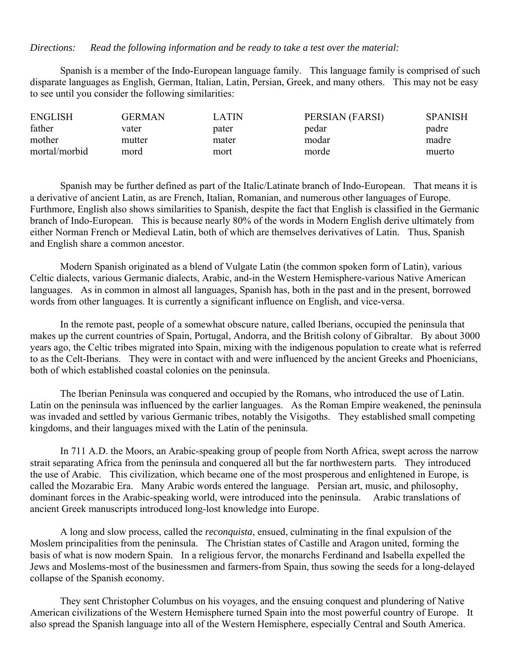#### *Directions: Read the following information and be ready to take a test over the material:*

 Spanish is a member of the Indo-European language family. This language family is comprised of such disparate languages as English, German, Italian, Latin, Persian, Greek, and many others. This may not be easy to see until you consider the following similarities:

| <b>ENGLISH</b> | GERMAN | LATIN | PERSIAN (FARSI) | <b>SPANISH</b> |
|----------------|--------|-------|-----------------|----------------|
| father         | vater  | pater | pedar           | padre          |
| mother         | mutter | mater | modar           | madre          |
| mortal/morbid  | mord   | mort  | morde           | muerto         |

 Spanish may be further defined as part of the Italic/Latinate branch of Indo-European. That means it is a derivative of ancient Latin, as are French, Italian, Romanian, and numerous other languages of Europe. Furthmore, English also shows similarities to Spanish, despite the fact that English is classified in the Germanic branch of Indo-European. This is because nearly 80% of the words in Modern English derive ultimately from either Norman French or Medieval Latin, both of which are themselves derivatives of Latin. Thus, Spanish and English share a common ancestor.

 Modern Spanish originated as a blend of Vulgate Latin (the common spoken form of Latin), various Celtic dialects, various Germanic dialects, Arabic, and-in the Western Hemisphere-various Native American languages. As in common in almost all languages, Spanish has, both in the past and in the present, borrowed words from other languages. It is currently a significant influence on English, and vice-versa.

 In the remote past, people of a somewhat obscure nature, called Iberians, occupied the peninsula that makes up the current countries of Spain, Portugal, Andorra, and the British colony of Gibraltar. By about 3000 years ago, the Celtic tribes migrated into Spain, mixing with the indigenous population to create what is referred to as the Celt-Iberians. They were in contact with and were influenced by the ancient Greeks and Phoenicians, both of which established coastal colonies on the peninsula.

 The Iberian Peninsula was conquered and occupied by the Romans, who introduced the use of Latin. Latin on the peninsula was influenced by the earlier languages. As the Roman Empire weakened, the peninsula was invaded and settled by various Germanic tribes, notably the Visigoths. They established small competing kingdoms, and their languages mixed with the Latin of the peninsula.

 In 711 A.D. the Moors, an Arabic-speaking group of people from North Africa, swept across the narrow strait separating Africa from the peninsula and conquered all but the far northwestern parts. They introduced the use of Arabic. This civilization, which became one of the most prosperous and enlightened in Europe, is called the Mozarabic Era. Many Arabic words entered the language. Persian art, music, and philosophy, dominant forces in the Arabic-speaking world, were introduced into the peninsula. Arabic translations of ancient Greek manuscripts introduced long-lost knowledge into Europe.

 A long and slow process, called the *reconquista*, ensued, culminating in the final expulsion of the Moslem principalities from the peninsula. The Christian states of Castille and Aragon united, forming the basis of what is now modern Spain. In a religious fervor, the monarchs Ferdinand and Isabella expelled the Jews and Moslems-most of the businessmen and farmers-from Spain, thus sowing the seeds for a long-delayed collapse of the Spanish economy.

 They sent Christopher Columbus on his voyages, and the ensuing conquest and plundering of Native American civilizations of the Western Hemisphere turned Spain into the most powerful country of Europe. It also spread the Spanish language into all of the Western Hemisphere, especially Central and South America.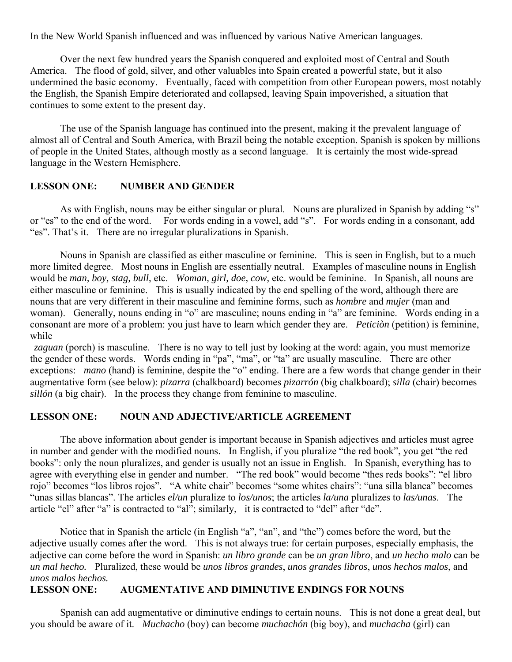In the New World Spanish influenced and was influenced by various Native American languages.

 Over the next few hundred years the Spanish conquered and exploited most of Central and South America. The flood of gold, silver, and other valuables into Spain created a powerful state, but it also undermined the basic economy. Eventually, faced with competition from other European powers, most notably the English, the Spanish Empire deteriorated and collapsed, leaving Spain impoverished, a situation that continues to some extent to the present day.

 The use of the Spanish language has continued into the present, making it the prevalent language of almost all of Central and South America, with Brazil being the notable exception. Spanish is spoken by millions of people in the United States, although mostly as a second language. It is certainly the most wide-spread language in the Western Hemisphere.

#### **LESSON ONE: NUMBER AND GENDER**

As with English, nouns may be either singular or plural. Nouns are pluralized in Spanish by adding "s" or "es" to the end of the word. For words ending in a vowel, add "s". For words ending in a consonant, add "es". That's it. There are no irregular pluralizations in Spanish.

 Nouns in Spanish are classified as either masculine or feminine. This is seen in English, but to a much more limited degree. Most nouns in English are essentially neutral. Examples of masculine nouns in English would be *man, boy, stag, bull*, etc. *Woman, girl, doe, cow,* etc. would be feminine. In Spanish, all nouns are either masculine or feminine. This is usually indicated by the end spelling of the word, although there are nouns that are very different in their masculine and feminine forms, such as *hombre* and *mujer* (man and woman). Generally, nouns ending in "o" are masculine; nouns ending in "a" are feminine. Words ending in a consonant are more of a problem: you just have to learn which gender they are. *Peticiòn* (petition) is feminine, while

*zaguan* (porch) is masculine. There is no way to tell just by looking at the word: again, you must memorize the gender of these words. Words ending in "pa", "ma", or "ta" are usually masculine. There are other exceptions: *mano* (hand) is feminine, despite the "o" ending. There are a few words that change gender in their augmentative form (see below): *pizarra* (chalkboard) becomes *pizarrón* (big chalkboard); *silla* (chair) becomes *sillón* (a big chair). In the process they change from feminine to masculine.

#### **LESSON ONE: NOUN AND ADJECTIVE/ARTICLE AGREEMENT**

 The above information about gender is important because in Spanish adjectives and articles must agree in number and gender with the modified nouns. In English, if you pluralize "the red book", you get "the red books": only the noun pluralizes, and gender is usually not an issue in English. In Spanish, everything has to agree with everything else in gender and number. "The red book" would become "thes reds books": "el libro rojo" becomes "los libros rojos". "A white chair" becomes "some whites chairs": "una silla blanca" becomes "unas sillas blancas". The articles *el/un* pluralize to *los/unos*; the articles *la/una* pluralizes to *las/unas*. The article "el" after "a" is contracted to "al"; similarly, it is contracted to "del" after "de".

 Notice that in Spanish the article (in English "a", "an", and "the") comes before the word, but the adjective usually comes after the word. This is not always true: for certain purposes, especially emphasis, the adjective can come before the word in Spanish: *un libro grande* can be *un gran libro*, and *un hecho malo* can be *un mal hecho.* Pluralized, these would be *unos libros grandes*, *unos grandes libros*, *unos hechos malos*, and *unos malos hechos.*

#### **LESSON ONE: AUGMENTATIVE AND DIMINUTIVE ENDINGS FOR NOUNS**

 Spanish can add augmentative or diminutive endings to certain nouns. This is not done a great deal, but you should be aware of it. *Muchacho* (boy) can become *muchachón* (big boy), and *muchacha* (girl) can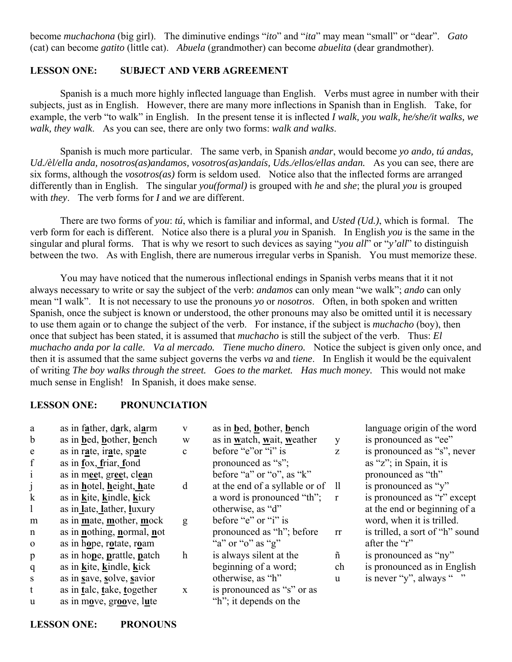become *muchachona* (big girl). The diminutive endings "*ito*" and "*ita*" may mean "small" or "dear". *Gato* (cat) can become *gatito* (little cat). *Abuela* (grandmother) can become *abuelita* (dear grandmother).

#### **LESSON ONE: SUBJECT AND VERB AGREEMENT**

 Spanish is a much more highly inflected language than English. Verbs must agree in number with their subjects, just as in English. However, there are many more inflections in Spanish than in English. Take, for example, the verb "to walk" in English. In the present tense it is inflected *I walk, you walk, he/she/it walks, we walk, they walk*. As you can see, there are only two forms: *walk and walks*.

 Spanish is much more particular. The same verb, in Spanish *andar*, would become *yo ando, tú andas, Ud./èl/ella anda, nosotros(as)andamos, vosotros(as)andaís, Uds./ellos/ellas andan.* As you can see, there are six forms, although the *vosotros(as)* form is seldom used. Notice also that the inflected forms are arranged differently than in English. The singular *you(formal)* is grouped with *he* and *she*; the plural *you* is grouped with *they*. The verb forms for *I* and *we* are different.

 There are two forms of *you*: *tú*, which is familiar and informal, and *Usted (Ud.)*, which is formal. The verb form for each is different. Notice also there is a plural *you* in Spanish. In English *you* is the same in the singular and plural forms. That is why we resort to such devices as saying "*you all*" or "*y'all*" to distinguish between the two. As with English, there are numerous irregular verbs in Spanish. You must memorize these.

 You may have noticed that the numerous inflectional endings in Spanish verbs means that it it not always necessary to write or say the subject of the verb: *andamos* can only mean "we walk"; *ando* can only mean "I walk". It is not necessary to use the pronouns *yo* or *nosotros*. Often, in both spoken and written Spanish, once the subject is known or understood, the other pronouns may also be omitted until it is necessary to use them again or to change the subject of the verb. For instance, if the subject is *muchacho* (boy), then once that subject has been stated, it is assumed that *muchacho* is still the subject of the verb. Thus: *El muchacho anda por la calle. Va al mercado. Tiene mucho dinero.* Notice the subject is given only once, and then it is assumed that the same subject governs the verbs *va* and *tiene*. In English it would be the equivalent of writing *The boy walks through the street. Goes to the market. Has much money.* This would not make much sense in English! In Spanish, it does make sense.

### **LESSON ONE: PRONUNCIATION**

| a            | as in father, dark, alarm   | V            | as in bed, bother, bench          |              | language origin of the word     |
|--------------|-----------------------------|--------------|-----------------------------------|--------------|---------------------------------|
| $\mathbf b$  | as in bed, bother, bench    | W            | as in watch, wait, weather        | y            | is pronounced as "ee"           |
| e            | as in rate, irate, spate    | $\mathbf{c}$ | before "e"or "i" is               | Z            | is pronounced as "s", never     |
| $\mathbf f$  | as in fox, friar, fond      |              | pronounced as "s";                |              | as "z"; in Spain, it is         |
| $\mathbf{1}$ | as in meet, greet, clean    |              | before "a" or "o", as " $k$ "     |              | pronounced as "th"              |
|              | as in hotel, height, hate   | d            | at the end of a syllable or of ll |              | is pronounced as "y"            |
| $\bf k$      | as in kite, kindle, kick    |              | a word is pronounced "th";        | $\mathbf{r}$ | is pronounced as "r" except     |
|              | as in late, lather, luxury  |              | otherwise, as "d"                 |              | at the end or beginning of a    |
| m            | as in mate, mother, mock    | g            | before "e" or "i" is              |              | word, when it is trilled.       |
| $\mathbf n$  | as in nothing, normal, not  |              | pronounced as "h"; before         | rr           | is trilled, a sort of "h" sound |
| $\Omega$     | as in hope, rotate, roam    |              | "a" or "o" as "g"                 |              | after the "r"                   |
| $\mathbf{p}$ | as in hope, prattle, patch  | $\mathbf h$  | is always silent at the           | ñ            | is pronounced as "ny"           |
| $\mathbf{q}$ | as in kite, kindle, kick    |              | beginning of a word;              | ch           | is pronounced as in English     |
| <sub>S</sub> | as in save, solve, savior   |              | otherwise, as "h"                 | u            | is never "y", always ""         |
| t            | as in talc, take, together  | $\mathbf X$  | is pronounced as "s" or as        |              |                                 |
| u            | as in move, $groove$ , lute |              | "h"; it depends on the            |              |                                 |

**LESSON ONE: PRONOUNS**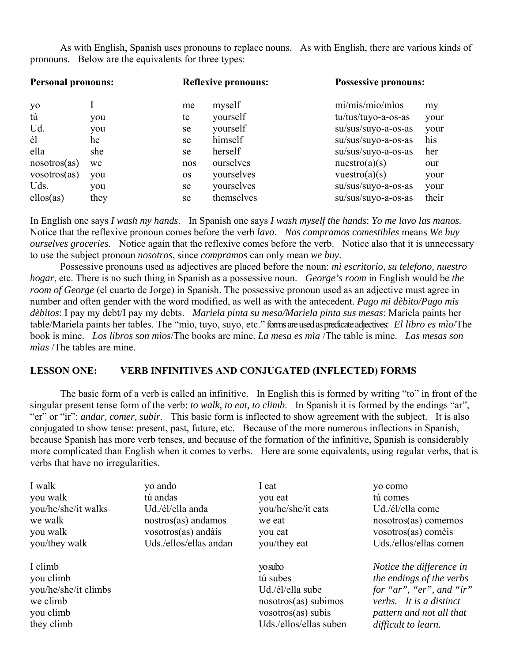As with English, Spanish uses pronouns to replace nouns. As with English, there are various kinds of pronouns. Below are the equivalents for three types:

| <b>Personal pronouns:</b> |      | <b>Reflexive pronouns:</b> |            | <b>Possessive pronouns:</b> |       |
|---------------------------|------|----------------------------|------------|-----------------------------|-------|
| yo                        |      | me                         | myself     | mi/mis/mio/mios             | my    |
| tú                        | you  | te                         | yourself   | tu/tus/tuyo-a-os-as         | your  |
| Ud.                       | you  | se                         | yourself   | su/sus/suyo-a-os-as         | your  |
| él                        | he   | se                         | himself    | su/sus/suyo-a-os-as         | his   |
| ella                      | she  | se                         | herself    | su/sus/suyo-a-os-as         | her   |
| nosotros(as)              | we   | nos                        | ourselves  | nuestro(a)(s)               | our   |
| vosotros(as)              | you  | <b>OS</b>                  | yourselves | vuestro $(a)(s)$            | your  |
| Uds.                      | you  | se                         | yourselves | su/sus/suyo-a-os-as         | your  |
| ellos(as)                 | they | se                         | themselves | su/sus/suyo-a-os-as         | their |

In English one says *I wash my hands*. In Spanish one says *I wash myself the hands*: *Yo me lavo las manos.* Notice that the reflexive pronoun comes before the verb *lavo*. *Nos compramos comestibles* means *We buy ourselves groceries.* Notice again that the reflexive comes before the verb. Notice also that it is unnecessary to use the subject pronoun *nosotros*, since *compramos* can only mean *we buy*.

 Possessive pronouns used as adjectives are placed before the noun: *mi escritorio, su telefono, nuestro hogar*, etc. There is no such thing in Spanish as a possessive noun. *George's room* in English would be *the room of George* (el cuarto de Jorge) in Spanish. The possessive pronoun used as an adjective must agree in number and often gender with the word modified, as well as with the antecedent. *Pago mi dèbito/Pago mis dèbitos*: I pay my debt/I pay my debts. *Mariela pinta su mesa/Mariela pinta sus mesas*: Mariela paints her table/Mariela paints her tables. The "mìo, tuyo, suyo, etc." forms are used as predicate adjectives: *El libro es mìo*/The book is mine. *Los libros son mìos*/The books are mine. *La mesa es mìa* /The table is mine. *Las mesas son mìas* /The tables are mine.

#### **LESSON ONE: VERB INFINITIVES AND CONJUGATED (INFLECTED) FORMS**

 The basic form of a verb is called an infinitive. In English this is formed by writing "to" in front of the singular present tense form of the verb: *to walk, to eat, to climb*. In Spanish it is formed by the endings "ar", "er" or "ir": *andar, comer, subir*. This basic form is inflected to show agreement with the subject. It is also conjugated to show tense: present, past, future, etc. Because of the more numerous inflections in Spanish, because Spanish has more verb tenses, and because of the formation of the infinitive, Spanish is considerably more complicated than English when it comes to verbs. Here are some equivalents, using regular verbs, that is verbs that have no irregularities.

| I walk              |
|---------------------|
| you walk            |
| you/he/she/it walks |
| we walk             |
| you walk            |
| you/they walk       |

I climb you climb you/he/she/it climbs we climb you climb they climb

yo ando tú andas Ud./él/ella anda nostros(as) andamos vosotros(as) andàis Uds./ellos/ellas andan

I eat you eat you/he/she/it eats we eat you eat you/they eat

 yo subo tú subes Ud./él/ella sube nosotros(as) subimos vosotros(as) subís Uds./ellos/ellas suben yo como tú comes Ud./él/ella come nosotros(as) comemos vosotros(as) comèis Uds./ellos/ellas comen

*Notice the difference in the endings of the verbs for "ar", "er", and "ir" verbs. It is a distinct pattern and not all that difficult to learn.*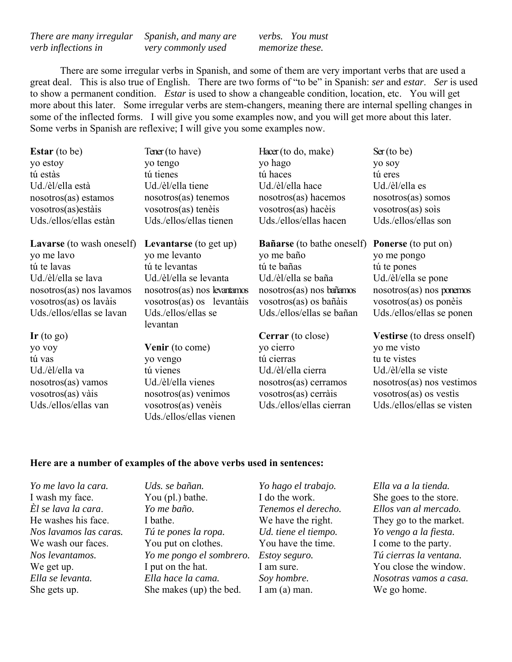*There are many irregular verb inflections in Spanish, and many are very commonly used* 

*verbs. You must memorize these.*

 There are some irregular verbs in Spanish, and some of them are very important verbs that are used a great deal. This is also true of English. There are two forms of "to be" in Spanish: *ser* and *estar*. *Ser* is used to show a permanent condition. *Estar* is used to show a changeable condition, location, etc. You will get more about this later. Some irregular verbs are stem-changers, meaning there are internal spelling changes in some of the inflected forms. I will give you some examples now, and you will get more about this later. Some verbs in Spanish are reflexive; I will give you some examples now.

| <b>Estar</b> (to be)           | Tener (to have)             | Hacer (to do, make)               | Ser(to be)                        |
|--------------------------------|-----------------------------|-----------------------------------|-----------------------------------|
| yo estoy                       | yo tengo                    | yo hago                           | yo soy                            |
| tú estàs                       | tú tienes                   | tú haces                          | tú eres                           |
| Ud./èl/ella està               | Ud./èl/ella tiene           | Ud./èl/ella hace                  | Ud./èl/ella es                    |
| $nosotros(as)$ estamos         | $nosotros(as)$ tenemos      | nosotros(as) hacemos              | nosotros(as) somos                |
| vosotros(as) estàis            | vosotros(as) tenèis         | vosotros(as) hacèis               | vosotros(as) so is                |
| Uds./ellos/ellas estàn         | Uds./ellos/ellas tienen     | Uds./ellos/ellas hacen            | Uds./ellos/ellas son              |
| Lavarse (to wash oneself)      | Levantarse (to get up)      | <b>Bañarse</b> (to bathe oneself) | <b>Ponerse</b> (to put on)        |
| yo me lavo                     | yo me levanto               | yo me baño                        | yo me pongo                       |
| tú te lavas                    | tú te levantas              | tú te bañas                       | tú te pones                       |
| Ud./èl/ella se lava            | Ud./èl/ella se levanta      | Ud./èl/ella se baña               | Ud./èl/ella se pone               |
| nosotros(as) nos lavamos       | nosotros(as) nos levantamos | nosotros(as) nos bañamos          | nosotros(as) nos ponemos          |
| vosotros(as) os lavàis         | vosotros(as) os levantàis   | vosotros(as) os bañàis            | vosotros(as) os ponèis            |
| Uds./ellos/ellas se lavan      | Uds./ellos/ellas se         | Uds./ellos/ellas se bañan         | Uds./ellos/ellas se ponen         |
|                                | levantan                    |                                   |                                   |
| $\mathbf{I}$ r (to go)         |                             | <b>Cerrar</b> (to close)          | <b>Vestirse</b> (to dress onself) |
| yo voy                         | <b>Venir</b> (to come)      | yo cierro                         | yo me visto                       |
| tú vas                         | yo vengo                    | tú cierras                        | tu te vistes                      |
| Ud./èl/ella va                 | tú vienes                   | Ud./èl/ella cierra                | Ud./èl/ella se viste              |
| $nosotros(as)$ vamos           | Ud./èl/ella vienes          | nosotros(as) cerramos             | nosotros(as) nos vestimos         |
| $vosotros(as) \overline{vais}$ | $nosotros(as)$ venimos      | vosotros(as) cerràis              | vosotros(as) os vestis            |
| Uds./ellos/ellas van           | vosotros(as) venèis         | Uds./ellos/ellas cierran          | Uds./ellos/ellas se visten        |
|                                | Uds./ellos/ellas vienen     |                                   |                                   |

#### **Here are a number of examples of the above verbs used in sentences:**

*Yo me lavo la cara.* I wash my face. *Èl se lava la cara*. He washes his face. *Nos lavamos las caras.* We wash our faces. *Nos levantamos.* We get up. *Ella se levanta.* She gets up.

*Uds. se bañan.* You (pl.) bathe. *Yo me baño.* I bathe. *Tú te pones la ropa.* You put on clothes. *Yo me pongo el sombrero.* I put on the hat. *Ella hace la cama.* She makes (up) the bed.

*Yo hago el trabajo.* I do the work. *Tenemos el derecho.* We have the right. *Ud. tiene el tiempo.*  You have the time. *Estoy seguro.*  I am sure. *Soy hombre.* I am (a) man.

*Ella va a la tienda.* She goes to the store. *Ellos van al mercado.* They go to the market. *Yo vengo a la fiesta.* I come to the party. *Tú cierras la ventana.* You close the window. *Nosotras vamos a casa.* We go home.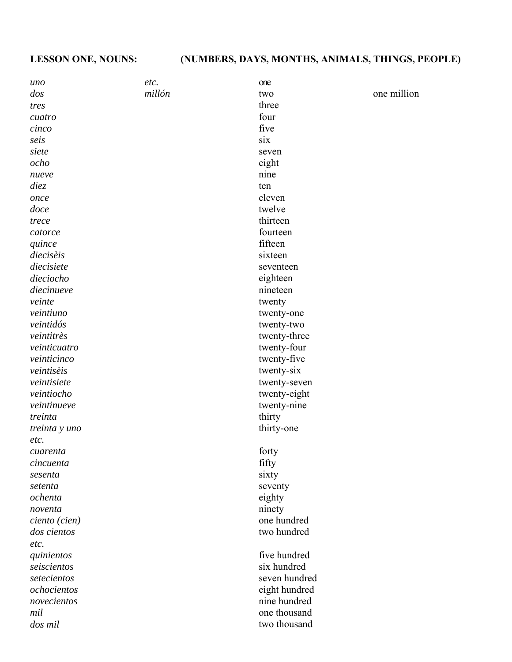| uno                   | etc.   | one           |             |
|-----------------------|--------|---------------|-------------|
| dos                   | millón | two           | one million |
| tres                  |        | three         |             |
| cuatro                |        | four          |             |
| cinco                 |        | five          |             |
| seis                  |        | six           |             |
| siete                 |        | seven         |             |
| ocho                  |        | eight         |             |
| nueve                 |        | nine          |             |
| diez                  |        | ten           |             |
| once                  |        | eleven        |             |
| doce                  |        | twelve        |             |
| trece                 |        | thirteen      |             |
| catorce               |        | fourteen      |             |
| quince                |        | fifteen       |             |
| diecisèis             |        | sixteen       |             |
| diecisiete            |        | seventeen     |             |
| dieciocho             |        | eighteen      |             |
| diecinueve            |        | nineteen      |             |
| veinte                |        | twenty        |             |
| veintiuno             |        | twenty-one    |             |
| veintidós             |        | twenty-two    |             |
| veintitrès            |        | twenty-three  |             |
| veinticuatro          |        | twenty-four   |             |
| veinticinco           |        | twenty-five   |             |
| veintisèis            |        | twenty-six    |             |
| veintisiete           |        | twenty-seven  |             |
| veintiocho            |        | twenty-eight  |             |
| veintinueve           |        | twenty-nine   |             |
| treinta               |        | thirty        |             |
|                       |        | thirty-one    |             |
| treinta y uno<br>etc. |        |               |             |
|                       |        |               |             |
| cuarenta              |        | forty         |             |
| cincuenta             |        | fifty         |             |
| sesenta               |        | sixty         |             |
| setenta<br>ochenta    |        | seventy       |             |
|                       |        | eighty        |             |
| noventa               |        | ninety        |             |
| ciento (cien)         |        | one hundred   |             |
| dos cientos           |        | two hundred   |             |
| etc.                  |        |               |             |
| quinientos            |        | five hundred  |             |
| seiscientos           |        | six hundred   |             |
| setecientos           |        | seven hundred |             |
| ochocientos           |        | eight hundred |             |
| novecientos           |        | nine hundred  |             |
| mil                   |        | one thousand  |             |
| dos mil               |        | two thousand  |             |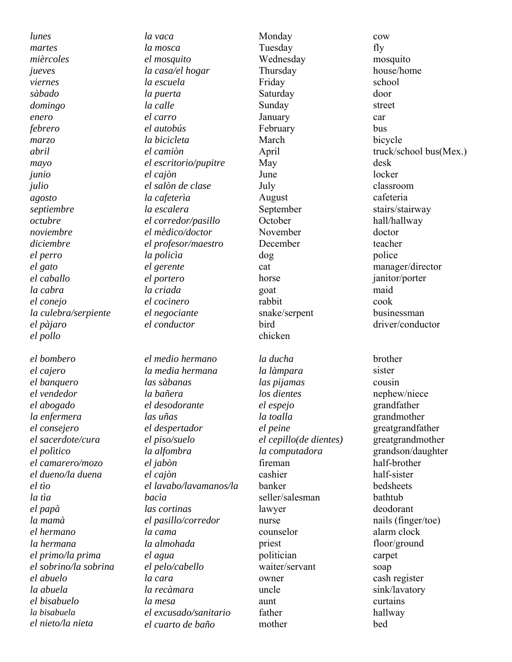*lunes martes mièrcoles jueves viernes sàbado domingo enero febrero marzo abril mayo junio julio agosto septiembre octubre noviembre diciembre el perro el gato el caballo la cabra el conejo la culebra/serpiente el pàjaro el pollo*

*el bombero el cajero el banquero el vendedor el abogado la enfermera el consejero el sacerdote/cura el polìtico el camarero/mozo el dueno/la duena el tìo la tìa el papà la mamà el hermano la hermana el primo/la prima el sobrino/la sobrina el abuelo la abuela el bisabuelo la bisabuela el nieto/la nieta*

*la vaca la mosca el mosquito la casa/el hogar la escuela la puerta la calle el carro el autobús la bicicleta el camiòn el escritorio/pupitre el cajòn el salòn de clase la cafeterìa la escalera el corredor/pasillo el mèdico/doctor el profesor/maestro la policìa el gerente el portero la criada el cocinero el negociante el conductor* 

*el medio hermano la media hermana las sàbanas la bañera el desodorante las uñas el despertador el piso/suelo la alfombra el jabòn el cajòn el lavabo/lavamanos/la bacìa las cortinas el pasillo/corredor la cama la almohada el agua el pelo/cabello la cara la recàmara la mesa el excusado/sanitario el cuarto de baño* 

Monday Tuesday Wednesday Thursday Friday Saturday Sunday January February March April May June July August September **October** November December dog cat horse goat rabbit snake/serpent bird chicken

*la ducha la làmpara las pijamas los dientes el espejo la toalla el peine el cepillo(de dientes) la computadora* fireman cashier banker seller/salesman lawyer nurse counselor priest politician waiter/servant owner uncle aunt father mother

cow fly mosquito house/home school door street car bus bicycle truck/school bus(Mex.) desk locker classroom cafeteria stairs/stairway hall/hallway doctor teacher police manager/director janitor/porter maid cook businessman driver/conductor brother sister cousin nephew/niece grandfather grandmother greatgrandfather greatgrandmother grandson/daughter half-brother half-sister bedsheets bathtub deodorant nails (finger/toe) alarm clock floor/ground carpet soap cash register sink/lavatory curtains hallway bed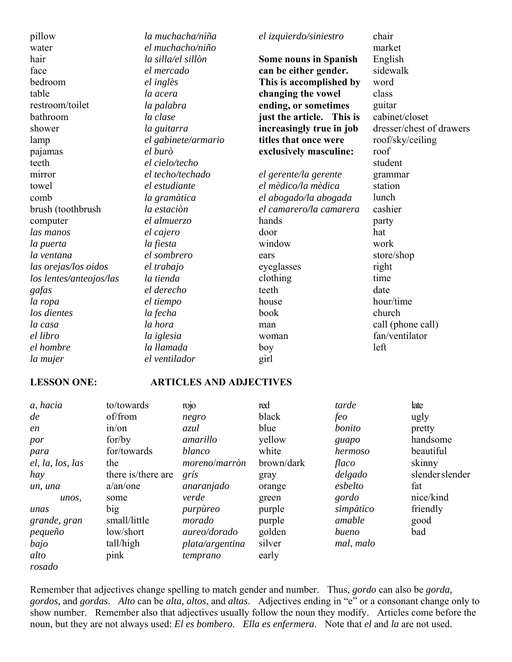pillow water hair face bedroom table restroom/toilet bathroom shower lamp pajamas teeth mirror towel comb brush (toothbrush computer *las manos la puerta la ventana las orejas/los oidos los lentes/anteojos/las gafas la ropa los dientes la casa el libro el hombre la mujer* 

*la muchacha/niña el muchacho/niño la silla/el sillòn el mercado el inglès la acera la palabra la clase la guitarra el gabinete/armario el burò el cielo/techo el techo/techado el estudiante la gramàtica la estaciòn el almuerzo el cajero la fiesta el sombrero el trabajo la tienda el derecho el tiempo la fecha la hora la iglesia la llamada* 

*el ventilador* 

#### *el izquierdo/siniestro*

**Some nouns in Spanish can be either gender. This is accomplished by changing the vowel ending, or sometimes just the article. This is increasingly true in job titles that once were exclusively masculine:** 

*el gerente/la gerente el mèdico/la mèdica el abogado/la abogada el camarero/la camarera*  hands door window ears eyeglasses clothing teeth house book man woman boy

chair market English sidewalk word class guitar cabinet/closet dresser/chest of drawers roof/sky/ceiling roof student grammar station lunch cashier party hat work store/shop right time date hour/time church call (phone call) fan/ventilator left

#### **LESSON ONE: ARTICLES AND ADJECTIVES**

| a, hacia         | to/towards         | rojo            | red        | tarde     | late           |
|------------------|--------------------|-----------------|------------|-----------|----------------|
| de               | of/from            | negro           | black      | feo       | ugly           |
| en               | in/or              | azul            | blue       | bonito    | pretty         |
| por              | for/by             | amarillo        | yellow     | guapo     | handsome       |
| para             | for/towards        | blanco          | white      | hermoso   | beautiful      |
| el, la, los, las | the                | moreno/marròn   | brown/dark | flaco     | skinny         |
| hay              | there is/there are | grís            | gray       | delgado   | slenderslender |
| un, una          | a/an/one           | anaranjado      | orange     | esbelto   | fat            |
| unos,            | some               | verde           | green      | gordo     | nice/kind      |
| unas             | big                | purpùreo        | purple     | simpàtico | friendly       |
| grande, gran     | small/little       | morado          | purple     | amable    | good           |
| pequeño          | low/short          | aureo/dorado    | golden     | bueno     | bad            |
| bajo             | tall/high          | plata/argentina | silver     | mal, malo |                |
| alto             | pink               | temprano        | early      |           |                |
| rosado           |                    |                 |            |           |                |

girl

Remember that adjectives change spelling to match gender and number. Thus, *gordo* can also be *gorda, gordos,* and *gordas*. *Alto* can be *alta, altos*, and *altas*. Adjectives ending in "e" or a consonant change only to show number. Remember also that adjectives usually follow the noun they modify. Articles come before the noun, but they are not always used: *El es bombero*. *Ella es enfermera*. Note that *el* and *la* are not used.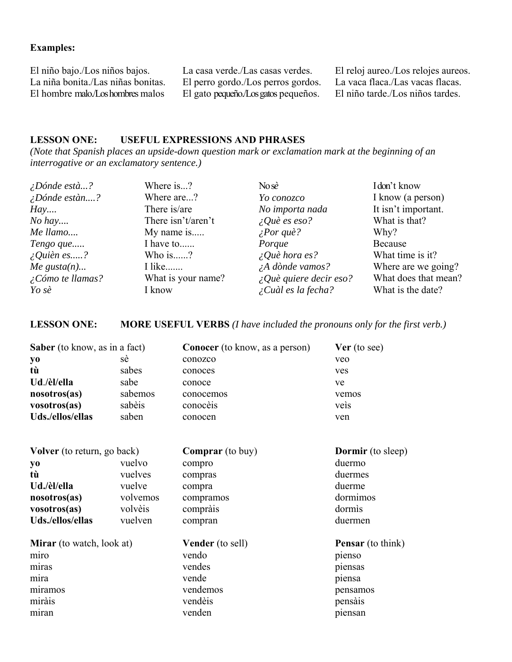## **Examples:**

El niño bajo./Los niños bajos. La niña bonita./Las niñas bonitas. El hombre malo./Los hombres malos

La casa verde./Las casas verdes. El perro gordo./Los perros gordos. El gato pequeño./Los gatos pequeños.

El reloj aureo./Los relojes aureos. La vaca flaca./Las vacas flacas. El niño tarde./Los niños tardes.

#### **LESSON ONE: USEFUL EXPRESSIONS AND PHRASES**

*(Note that Spanish places an upside-down question mark or exclamation mark at the beginning of an interrogative or an exclamatory sentence.)*

| $\angle D$ ónde està?       | Where is?          | $N$ o sè                        | Idon't know          |
|-----------------------------|--------------------|---------------------------------|----------------------|
| $\angle D$ ónde estàn?      | Where are?         | Yo conozco                      | I know (a person)    |
| Hay                         | There is/are       | No importa nada                 | It isn't important.  |
| $No$ hay                    | There isn't/aren't | $\angle Q$ uè es eso?           | What is that?        |
| Me llamo                    | My name is         | $\angle$ <i>Por que?</i>        | Why?                 |
| Tengo que                   | I have to          | Porque                          | Because              |
| $\angle$ Quièn es?          | Who is?            | $\angle Q$ uè hora es?          | What time is it?     |
| Me gusta $(n)$              | I like             | $\lambda A$ dònde vamos?        | Where are we going?  |
| $\sum \delta$ mo te llamas? | What is your name? | $\angle Q$ uè quiere decir eso? | What does that mean? |
| Yo sè                       | I know             | $\angle$ Cuàl es la fecha?      | What is the date?    |

#### **LESSON ONE: MORE USEFUL VERBS** *(I have included the pronouns only for the first verb.)*

| Saber (to know, as in a fact)      |          | <b>Conocer</b> (to know, as a person) | Ver (to see)             |
|------------------------------------|----------|---------------------------------------|--------------------------|
| yо                                 | sè       | conozco                               | veo                      |
| tù                                 | sabes    | conoces                               | ves                      |
| Ud./èl/ella                        | sabe     | conoce                                | ve                       |
| nosotros(as)                       | sabemos  | conocemos                             | vemos                    |
| vosotros(as)                       | sabèis   | conocèis                              | veis                     |
| Uds./ellos/ellas                   | saben    | conocen                               | ven                      |
| <b>Volver</b> (to return, go back) |          | <b>Comprar</b> (to buy)               | <b>Dormir</b> (to sleep) |
| yo                                 | vuelvo   | compro                                | duermo                   |
| tù                                 | vuelves  | compras                               | duermes                  |
| Ud./èl/ella                        | vuelve   | compra                                | duerme                   |
| nosotros(as)                       | volvemos | compramos                             | dormimos                 |
| vosotros(as)                       | volvèis  | compràis                              | dormis                   |
| Uds./ellos/ellas                   | vuelven  | compran                               | duermen                  |
| <b>Mirar</b> (to watch, look at)   |          | <b>Vender</b> (to sell)               | <b>Pensar</b> (to think) |
| miro                               |          | vendo                                 | pienso                   |
| miras                              |          | vendes                                | piensas                  |
| mira                               |          | vende                                 | piensa                   |
| miramos                            |          | vendemos                              | pensamos                 |
| miràis                             |          | vendèis                               | pensais                  |
| miran                              |          | venden                                | piensan                  |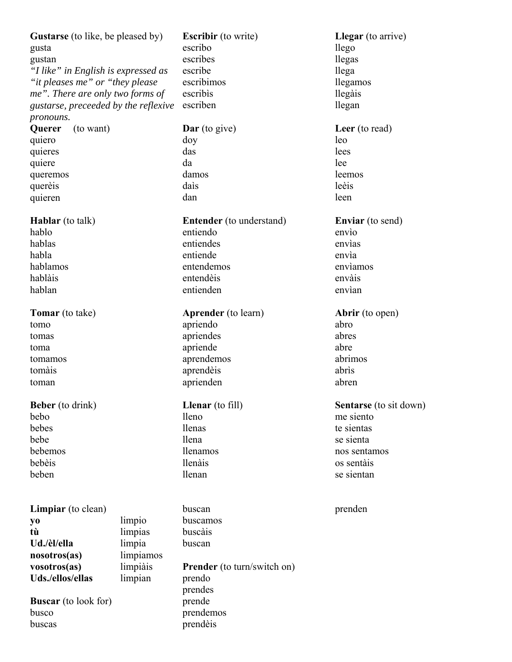Gustarse (to like, be pleased by) gusta

gustan *"I like" in English is expressed as "it pleases me" or "they please me". There are only two forms of gustarse, preceeded by the reflexive pronouns.*

**Querer** (to want) quiero quieres quiere queremos querèis quieren

**Hablar** (to talk) hablo hablas habla hablamos hablàis hablan

**Tomar** (to take) tomo tomas toma tomamos tomàis toman

**Beber** (to drink) bebo bebes bebe bebemos bebèis beben

**Limpiar** (to clean) **yo** limpio **tù** limpias **Ud./èl/ella** limpia **nosotros(as)** limpiamos **vosotros(as)** limpiàis **Uds./ellos/ellas** limpian

**Buscar** (to look for) busco buscas

**Escribir** (to write) escribo escribes escribe escribimos escribìs escriben

**Dar** (to give) doy das da damos daìs dan

**Entender** (to understand) entiendo entiendes entiende entendemos entendèis entienden

**Aprender** (to learn) apriendo apriendes apriende aprendemos aprendèis aprienden

**Llenar** (to fill) lleno llenas llena llenamos llenàis llenan

buscan buscamos buscàis buscan **Prender** (to turn/switch on) prendo prendes prende

prendemos prendèis

**Llegar** (to arrive) llego llegas llega llegamos llegàis llegan

**Leer** (to read) leo lees lee leemos leèis leen

**Enviar** (to send) envìo envìas envìa envìamos envàis envìan

**Abrir** (to open) abro abres abre abrimos abrìs abren

**Sentarse** (to sit down) me siento te sientas se sienta nos sentamos os sentàis se sientan

prenden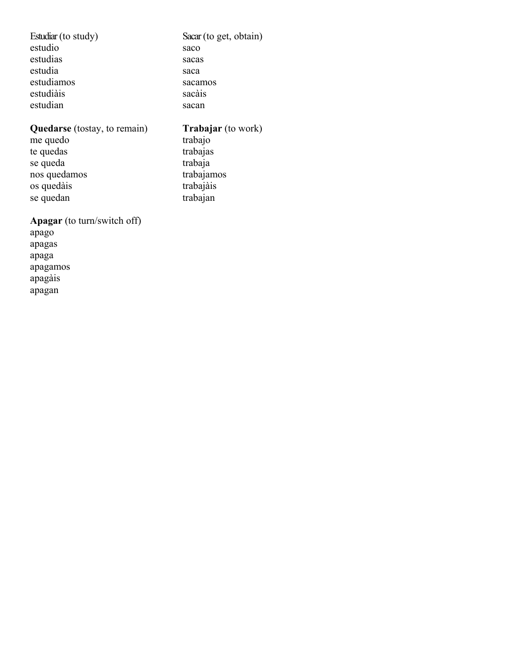Estudiar (to study) estudio estudias estudia estudiamos estudiàis estudian

## Sacar (to get, obtain) saco sacas saca sacamos sacàis sacan

## **Quedarse** (tostay, to remain)

me quedo te quedas se queda nos quedamos os quedàis se quedan

## **Trabajar** (to work)

trabajo trabajas trabaja trabajamos trabajàis trabajan

# **Apagar** (to turn/switch off)

apago apagas apaga apagamos apagàis apagan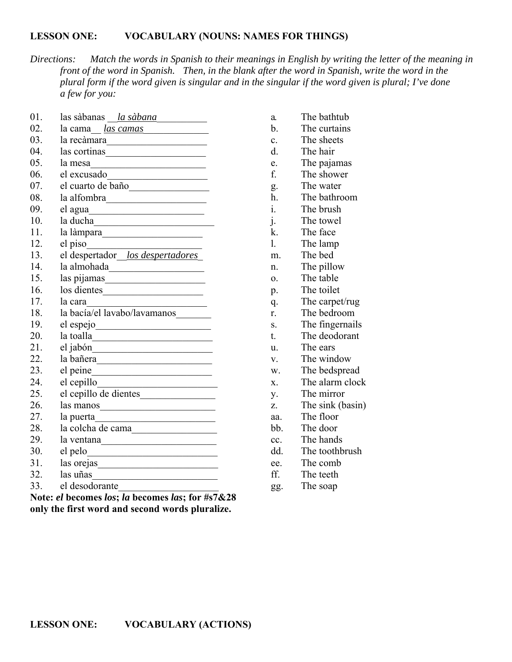#### **LESSON ONE: VOCABULARY (NOUNS: NAMES FOR THINGS)**

*Directions: Match the words in Spanish to their meanings in English by writing the letter of the meaning in front of the word in Spanish. Then, in the blank after the word in Spanish, write the word in the plural form if the word given is singular and in the singular if the word given is plural; I've done a few for you:*

| 01.       | las sàbanas <i>la sàbana</i> <b>chuidh</b>                                                                            |
|-----------|-----------------------------------------------------------------------------------------------------------------------|
| 02.       | la cama del <u>las camas</u>                                                                                          |
| 03.       | la recàmara                                                                                                           |
| 04.       | las cortinas                                                                                                          |
| 05.       | la mesa                                                                                                               |
| 06.       |                                                                                                                       |
| 07.       | el cuarto de baño                                                                                                     |
| 08.       |                                                                                                                       |
| 09.       |                                                                                                                       |
| 10.       | la ducha de la contra de la contra de la contra de la contra de la contra de la contra de la contra de la contra      |
| 11.       |                                                                                                                       |
| 12.       |                                                                                                                       |
| 13.       | el piso<br>el despertador los despertadores                                                                           |
| 14.       | la almohada                                                                                                           |
| 15.       |                                                                                                                       |
| 16.       | $\log$ dientes                                                                                                        |
| 17.       | la cara<br><u> 1990 - Johann Barbara, martin a</u>                                                                    |
| 18.       | la bacía/el lavabo/lavamanos________                                                                                  |
| 19.       |                                                                                                                       |
| 20.       | $\begin{tabular}{ c c c } \hline a\,\, to\,\, & \,\, & \,\, & \,\, \\ \hline \end{tabular}$                           |
| 21.       |                                                                                                                       |
| 22.       | la bañera                                                                                                             |
| 23.       |                                                                                                                       |
| 24.       |                                                                                                                       |
| 25.       | el cepillo de dientes                                                                                                 |
| 26.       | $\frac{1}{2}$ as manos                                                                                                |
| 27.       | la puerta<br><u> 1989 - Johann Barbara, martxa amerikan personal (</u>                                                |
| 28.       | la colcha de cama                                                                                                     |
| 29.       | la ventana<br>$\qquad \qquad$                                                                                         |
| 30.       | $el$ pelo $\frac{1}{2}$                                                                                               |
| 31.       |                                                                                                                       |
| 32.       |                                                                                                                       |
| 33.       | el desodorante                                                                                                        |
| <b>BT</b> | $\mathbf{I}$ , $\mathbf{I}$ , $\mathbf{I}$ , $\mathbf{I}$ , $\mathbf{I}$ , $\mathbf{C}$ , $\mathbf{H}$ , $\mathbf{C}$ |

**Note:** *el* **becomes** *los***;** *la* **becomes** *las***; for #s7&28 only the first word and second words pluralize.**

- a. The bathtub
- b. The curtains
- c. The sheets
- d. The hair
- e. The pajamas
- f. The shower
- g. The water
- h. The bathroom
- i. The brush
- j. The towel
- k. The face
- l. The lamp
- m. The bed
- n. The pillow
- o. The table
- p. The toilet
- q. The carpet/rug
- r. The bedroom
- s. The fingernails
- t. The deodorant
- u. The ears
- v. The window
- w. The bedspread
- x. The alarm clock
- y. The mirror
- z. The sink (basin)
- aa. The floor
- bb. The door
- cc. The hands
- dd. The toothbrush
- ee. The comb
- ff. The teeth
- gg. The soap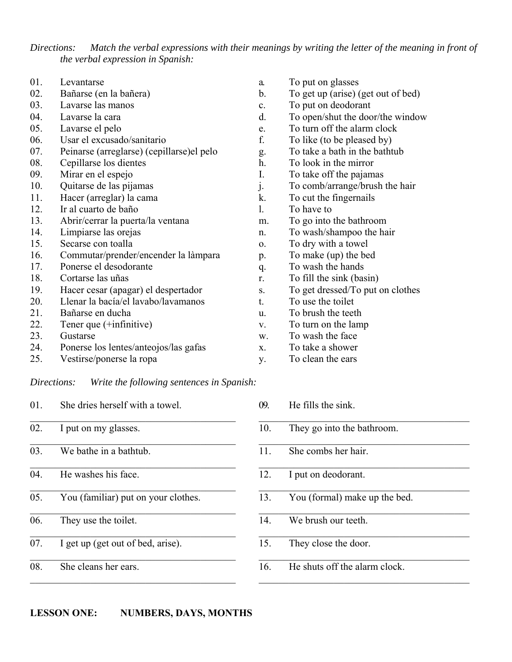*Directions: Match the verbal expressions with their meanings by writing the letter of the meaning in front of the verbal expression in Spanish:* 

| 01.         | Levantarse                                 |
|-------------|--------------------------------------------|
| 02.         | Bañarse (en la bañera)                     |
| 03.         | Lavarse las manos                          |
| 04.         | Lavarse la cara                            |
| 05.         | Lavarse el pelo                            |
| 06.         | Usar el excusado/sanitario                 |
| 07.         | Peinarse (arreglarse) (cepillarse) el pelo |
| 08.         | Cepillarse los dientes                     |
| 09.         | Mirar en el espejo                         |
| 10.         | Quitarse de las pijamas                    |
| 11.         | Hacer (arreglar) la cama                   |
| 12.         | Ir al cuarto de baño                       |
| 13.         | Abrir/cerrar la puerta/la ventana          |
| 14.         | Limpiarse las orejas                       |
| 15.         | Secarse con toalla                         |
| 16.         | Commutar/prender/encender la làmpara       |
| 17.         | Ponerse el desodorante                     |
| 18.         | Cortarse las uñas                          |
| 19.         | Hacer cesar (apagar) el despertador        |
| 20.         | Llenar la bacía/el lavabo/lavamanos        |
| 21.         | Bañarse en ducha                           |
| 22.         | Tener que $(+$ infinitive)                 |
| 23.         | Gustarse                                   |
| 24.         | Ponerse los lentes/anteojos/las gafas      |
| 25.         | Vestirse/ponerse la ropa                   |
| Directions: | Write the following sentences in Spanish:  |
| 01.         | She dries herself with a towel.            |
| 02.         | I put on my glasses.                       |

- 03. We bathe in a bathtub.
- 04. He washes his face.
- 05. You (familiar) put on your clothes.

 $\mathcal{L}_\text{max}$  and  $\mathcal{L}_\text{max}$  and  $\mathcal{L}_\text{max}$  and  $\mathcal{L}_\text{max}$ 

- 06. They use the toilet.
- $\overline{07}$ . I get up (get out of bed, arise).
- 08. She cleans her ears.
- a. To put on glasses
- b. To get up (arise) (get out of bed)
- c. To put on deodorant
- d. To open/shut the door/the window
- e. To turn off the alarm clock
- f. To like (to be pleased by)
- g. To take a bath in the bathtub
- h. To look in the mirror
- I. To take off the pajamas
- To comb/arrange/brush the hair
- k. To cut the fingernails
- l. To have to
- m. To go into the bathroom
- n. To wash/shampoo the hair
- o. To dry with a towel
- p. To make (up) the bed
- q. To wash the hands
- r. To fill the sink (basin)
- s. To get dressed/To put on clothes
- t. To use the toilet
- u. To brush the teeth
- v. To turn on the lamp
- w. To wash the face
- x. To take a shower
- y. To clean the ears
- 09. He fills the sink. 10. They go into the bathroom. 11. She combs her hair. \_\_\_\_\_\_\_\_\_\_\_\_\_\_\_\_\_\_\_\_\_\_\_\_\_\_\_\_\_\_\_\_\_\_\_\_\_\_\_\_\_\_ 12. I put on deodorant. 13. You (formal) make up the bed. 14. We brush our teeth. 15. They close the door. 16. He shuts off the alarm clock.  $\mathcal{L}_\text{max}$  and  $\mathcal{L}_\text{max}$  and  $\mathcal{L}_\text{max}$  and  $\mathcal{L}_\text{max}$

 $\mathcal{L}_\text{max}$  and  $\mathcal{L}_\text{max}$  and  $\mathcal{L}_\text{max}$  and  $\mathcal{L}_\text{max}$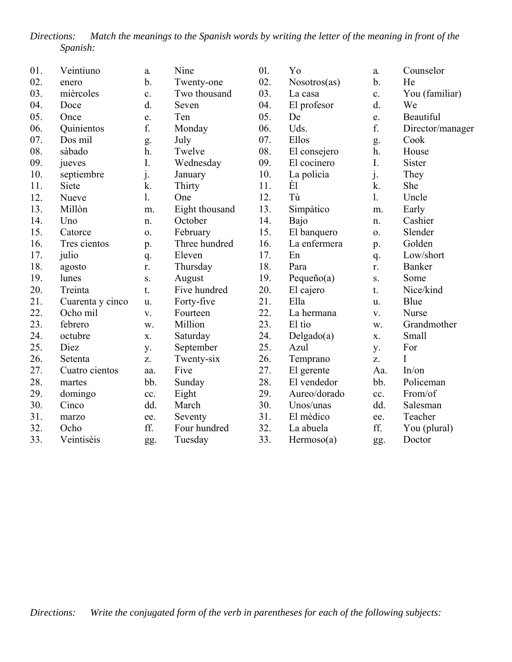*Directions: Match the meanings to the Spanish words by writing the letter of the meaning in front of the Spanish:*

| 01. | Veintiuno        | a.            | Nine           | 01. | Yo            | a.  | Counselor        |
|-----|------------------|---------------|----------------|-----|---------------|-----|------------------|
| 02. | enero            | $\mathbf b$ . | Twenty-one     | 02. | Nosotros(as)  | b.  | He               |
| 03. | mièrcoles        | c.            | Two thousand   | 03. | La casa       | c.  | You (familiar)   |
| 04. | Doce             | d.            | Seven          | 04. | El profesor   | d.  | We               |
| 05. | Once             | e.            | Ten            | 05. | De            | e.  | <b>Beautiful</b> |
| 06. | Quinientos       | f.            | Monday         | 06. | Uds.          | f.  | Director/manager |
| 07. | Dos mil          | g.            | July           | 07. | Ellos         | g.  | Cook             |
| 08. | sàbado           | h.            | Twelve         | 08. | El consejero  | h.  | House            |
| 09. | jueves           | I.            | Wednesday      | 09. | El cocinero   | I.  | Sister           |
| 10. | septiembre       | j.            | January        | 10. | La policia    | j.  | They             |
| 11. | Siete            | k.            | Thirty         | 11. | È1            | k.  | She              |
| 12. | Nueve            | 1.            | One            | 12. | Tù            | 1.  | Uncle            |
| 13. | Millòn           | m.            | Eight thousand | 13. | Simpàtico     | m.  | Early            |
| 14. | Uno              | n.            | October        | 14. | Bajo          | n.  | Cashier          |
| 15. | Catorce          | 0.            | February       | 15. | El banquero   | 0.  | Slender          |
| 16. | Tres cientos     | p.            | Three hundred  | 16. | La enfermera  | p.  | Golden           |
| 17. | julio            | q.            | Eleven         | 17. | En            | q.  | Low/short        |
| 18. | agosto           | r.            | Thursday       | 18. | Para          | r.  | Banker           |
| 19. | lunes            | S.            | August         | 19. | Pequeño $(a)$ | S.  | Some             |
| 20. | Treinta          | t.            | Five hundred   | 20. | El cajero     | t.  | Nice/kind        |
| 21. | Cuarenta y cinco | u.            | Forty-five     | 21. | Ella          | u.  | Blue             |
| 22. | Ocho mil         | V.            | Fourteen       | 22. | La hermana    | V.  | Nurse            |
| 23. | febrero          | W.            | Million        | 23. | El tio        | W.  | Grandmother      |
| 24. | octubre          | X.            | Saturday       | 24. | Delgado(a)    | X.  | <b>Small</b>     |
| 25. | Diez             | y.            | September      | 25. | Azul          | y.  | For              |
| 26. | Setenta          | Z.            | Twenty-six     | 26. | Temprano      | Z.  | I                |
| 27. | Cuatro cientos   | aa.           | Five           | 27. | El gerente    | Aa. | In/on            |
| 28. | martes           | bb.           | Sunday         | 28. | El vendedor   | bb. | Policeman        |
| 29. | domingo          | cc.           | Eight          | 29. | Aureo/dorado  | cc. | From/of          |
| 30. | Cinco            | dd.           | March          | 30. | Unos/unas     | dd. | Salesman         |
| 31. | marzo            | ee.           | Seventy        | 31. | El mèdico     | ee. | Teacher          |
| 32. | Ocho             | ff.           | Four hundred   | 32. | La abuela     | ff. | You (plural)     |
| 33. | Veintisèis       | gg.           | Tuesday        | 33. | Hermoso(a)    | gg. | Doctor           |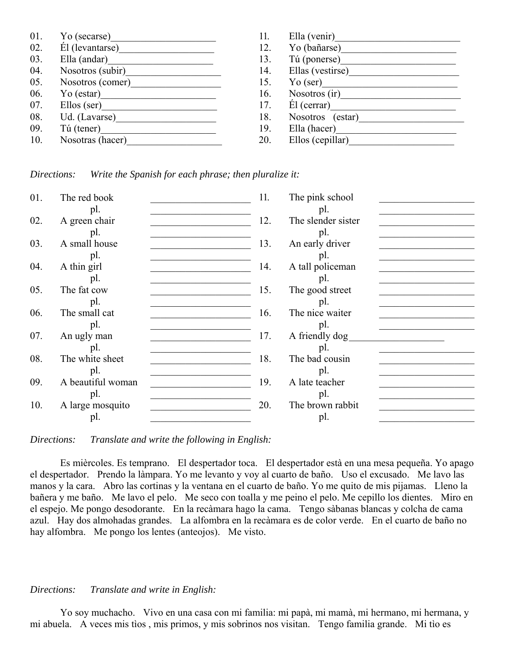| 01. | Yo (secarse)     | 11. | Ella (venir)      |
|-----|------------------|-----|-------------------|
| 02. | El (levantarse)  | 12. | Yo (bañarse)      |
| 03. | Ella (andar)     | 13. | Tú (ponerse)      |
| 04. | Nosotros (subir) | 14. | Ellas (vestirse)  |
| 05. | Nosotros (comer) | 15. | $\text{Yo}$ (ser) |
| 06. | Yo (estar)       | 16. | Nosotros (ir)     |
| 07. | $Ellos$ (ser)    | 17. | $E1$ (cerrar)     |
| 08. | Ud. (Lavarse)    | 18. | Nosotros (estar)  |
| 09. | Tú (tener)       | 19. | Ella (hacer)      |
| 10. | Nosotras (hacer) | 20. | Ellos (cepillar)  |

| 01. | The red book      | 11. | The pink school    |
|-----|-------------------|-----|--------------------|
|     | pl.               |     | pl.                |
| 02. | A green chair     | 12. | The slender sister |
|     | pl.               |     | pl.                |
| 03. | A small house     | 13. | An early driver    |
|     | pl.               |     | pl.                |
| 04. | A thin girl       | 14. | A tall policeman   |
|     | pl.               |     | pl.                |
| 05. | The fat cow       | 15. | The good street    |
|     | pl.               |     | pl.                |
| 06. | The small cat     | 16. | The nice waiter    |
|     | pl.               |     | pl.                |
| 07. | An ugly man       | 17. | A friendly dog     |
|     | pl.               |     | pl.                |
| 08. | The white sheet   | 18. | The bad cousin     |
|     | pl.               |     | pl.                |
| 09. | A beautiful woman | 19. | A late teacher     |
|     | pl.               |     | pl.                |
| 10. | A large mosquito  | 20. | The brown rabbit   |
|     | pl.               |     | pl.                |

*Directions: Translate and write the following in English:*

 Es mièrcoles. Es temprano. El despertador toca. El despertador està en una mesa pequeña. Yo apago el despertador. Prendo la làmpara. Yo me levanto y voy al cuarto de baño. Uso el excusado. Me lavo las manos y la cara. Abro las cortinas y la ventana en el cuarto de baño. Yo me quito de mis pijamas. Lleno la bañera y me baño. Me lavo el pelo. Me seco con toalla y me peino el pelo. Me cepillo los dientes. Miro en el espejo. Me pongo desodorante. En la recàmara hago la cama. Tengo sàbanas blancas y colcha de cama azul. Hay dos almohadas grandes. La alfombra en la recàmara es de color verde. En el cuarto de baño no hay alfombra. Me pongo los lentes (anteojos). Me visto.

#### *Directions: Translate and write in English:*

 Yo soy muchacho. Vivo en una casa con mi familia: mi papà, mi mamà, mi hermano, mi hermana, y mi abuela. A veces mis tìos , mis primos, y mis sobrinos nos visitan. Tengo familia grande. Mi tìo es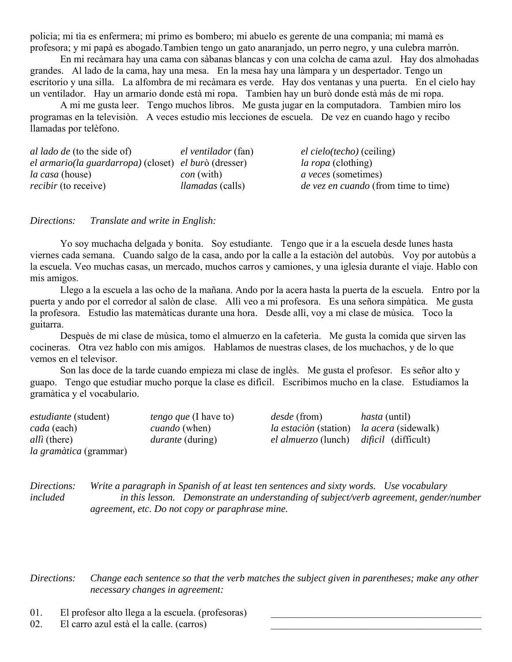policìa; mi tìa es enfermera; mi primo es bombero; mi abuelo es gerente de una companìa; mi mamà es profesora; y mi papà es abogado.Tambien tengo un gato anaranjado, un perro negro, y una culebra marròn.

 En mi recàmara hay una cama con sàbanas blancas y con una colcha de cama azul. Hay dos almohadas grandes. Al lado de la cama, hay una mesa. En la mesa hay una làmpara y un despertador. Tengo un escritorio y una silla. La alfombra de mi recàmara es verde. Hay dos ventanas y una puerta. En el cielo hay un ventilador. Hay un armario donde està mi ropa. Tambien hay un burò donde està màs de mi ropa.

 A mi me gusta leer. Tengo muchos libros. Me gusta jugar en la computadora. Tambien miro los programas en la televisiòn. A veces estudio mis lecciones de escuela. De vez en cuando hago y recibo llamadas por telèfono.

| <i>al lado de</i> (to the side of)                                  | el ventilador (fan)     | <i>el cielo(techo)</i> (ceiling)            |
|---------------------------------------------------------------------|-------------------------|---------------------------------------------|
| <i>el armario(la guardarropa)</i> (closet) <i>el burò</i> (dresser) |                         | <i>la ropa</i> (clothing)                   |
| <i>la casa</i> (house)                                              | <i>con</i> (with)       | <i>a veces</i> (sometimes)                  |
| <i>recibir</i> (to receive)                                         | <i>llamadas</i> (calls) | <i>de vez en cuando</i> (from time to time) |

*Directions: Translate and write in English:*

 Yo soy muchacha delgada y bonita. Soy estudiante. Tengo que ir a la escuela desde lunes hasta viernes cada semana. Cuando salgo de la casa, ando por la calle a la estaciòn del autobùs. Voy por autobùs a la escuela. Veo muchas casas, un mercado, muchos carros y camiones, y una iglesia durante el viaje. Hablo con mis amigos.

 Llego a la escuela a las ocho de la mañana. Ando por la acera hasta la puerta de la escuela. Entro por la puerta y ando por el corredor al salòn de clase. Allì veo a mi profesora. Es una señora simpàtica. Me gusta la profesora. Estudio las matemàticas durante una hora. Desde allì, voy a mi clase de mùsica. Toco la guitarra.

 Despuès de mi clase de mùsica, tomo el almuerzo en la cafeterìa. Me gusta la comida que sirven las cocineras. Otra vez hablo con mis amigos. Hablamos de nuestras clases, de los muchachos, y de lo que vemos en el televisor.

 Son las doce de la tarde cuando empieza mi clase de inglès. Me gusta el profesor. Es señor alto y guapo. Tengo que estudiar mucho porque la clase es difìcil. Escribimos mucho en la clase. Estudiamos la gramàtica y el vocabulario.

| <i>estudiante</i> (student)   | <i>tengo que</i> (I have to) | <i>desde</i> (from)          | <i>hasta</i> (until)       |
|-------------------------------|------------------------------|------------------------------|----------------------------|
| <i>cada</i> (each)            | <i>cuando</i> (when)         | <i>la estación</i> (station) | <i>la acera</i> (sidewalk) |
| <i>alli</i> (there)           | <i>durante</i> (during)      | el almuerzo (lunch)          | <i>dificil</i> (difficult) |
| <i>la gramàtica</i> (grammar) |                              |                              |                            |

*Directions: Write a paragraph in Spanish of at least ten sentences and sixty words. Use vocabulary included in this lesson. Demonstrate an understanding of subject/verb agreement, gender/number agreement, etc. Do not copy or paraphrase mine.* 

*Directions: Change each sentence so that the verb matches the subject given in parentheses; make any other necessary changes in agreement:*

- 01. El profesor alto llega a la escuela. (profesoras)
- 02. El carro azul està el la calle. (carros)